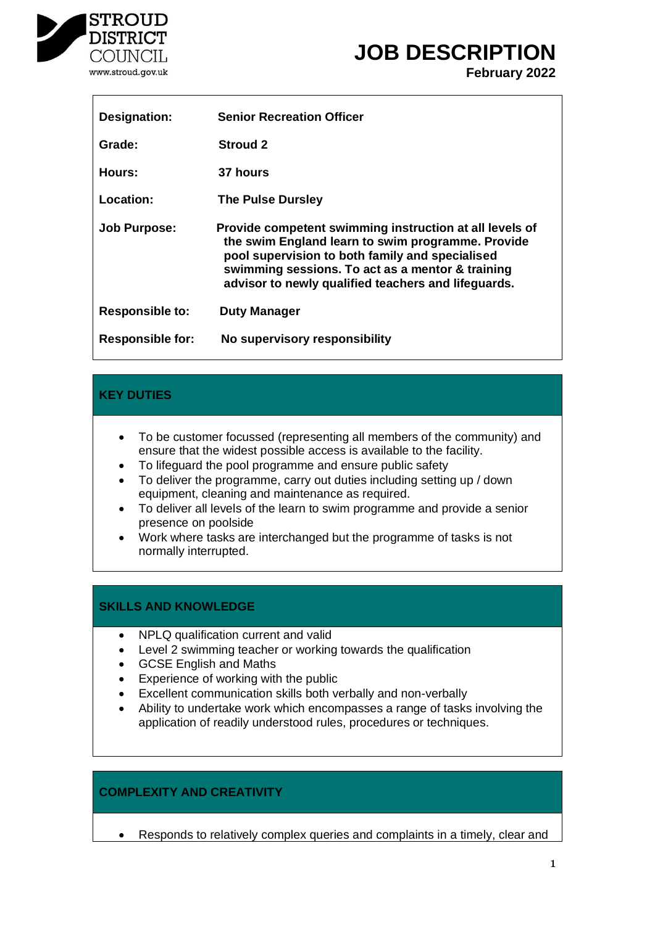

# **JOB DESCRIPTION**

**February 2022**

| <b>Designation:</b>     | <b>Senior Recreation Officer</b>                                                                                                                                                                                                                                           |
|-------------------------|----------------------------------------------------------------------------------------------------------------------------------------------------------------------------------------------------------------------------------------------------------------------------|
| Grade:                  | Stroud 2                                                                                                                                                                                                                                                                   |
| Hours:                  | 37 hours                                                                                                                                                                                                                                                                   |
| Location:               | <b>The Pulse Dursley</b>                                                                                                                                                                                                                                                   |
| <b>Job Purpose:</b>     | Provide competent swimming instruction at all levels of<br>the swim England learn to swim programme. Provide<br>pool supervision to both family and specialised<br>swimming sessions. To act as a mentor & training<br>advisor to newly qualified teachers and lifeguards. |
| <b>Responsible to:</b>  | <b>Duty Manager</b>                                                                                                                                                                                                                                                        |
| <b>Responsible for:</b> | No supervisory responsibility                                                                                                                                                                                                                                              |

## **KEY DUTIES**

- To be customer focussed (representing all members of the community) and ensure that the widest possible access is available to the facility.
- To lifeguard the pool programme and ensure public safety
- To deliver the programme, carry out duties including setting up / down equipment, cleaning and maintenance as required.
- To deliver all levels of the learn to swim programme and provide a senior presence on poolside
- Work where tasks are interchanged but the programme of tasks is not normally interrupted.

## **SKILLS AND KNOWLEDGE**

- NPLQ qualification current and valid
- Level 2 swimming teacher or working towards the qualification
- GCSE English and Maths
- Experience of working with the public
- Excellent communication skills both verbally and non-verbally
- Ability to undertake work which encompasses a range of tasks involving the application of readily understood rules, procedures or techniques.

## **COMPLEXITY AND CREATIVITY**

• Responds to relatively complex queries and complaints in a timely, clear and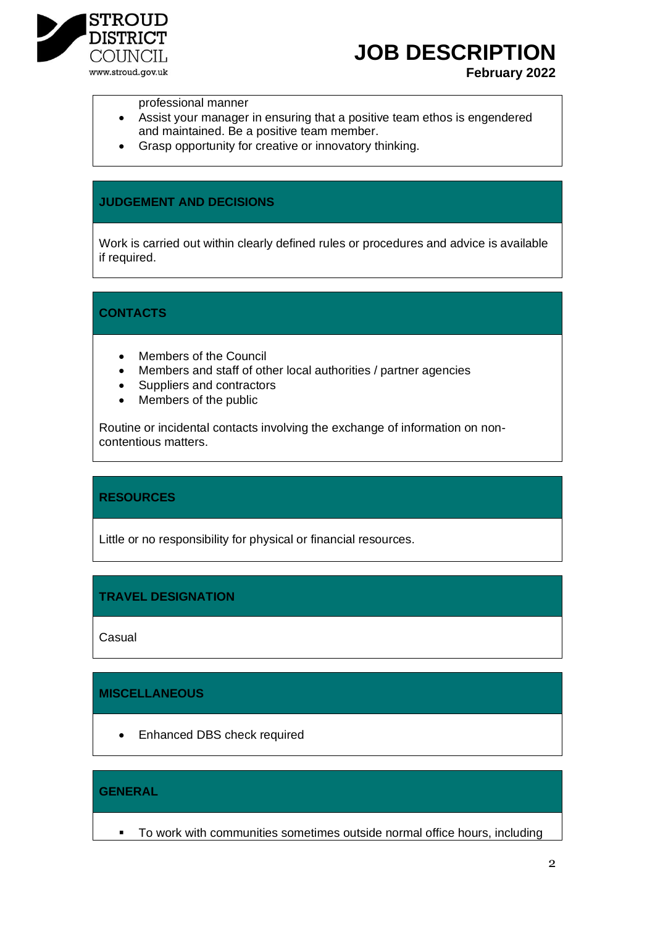

## **JOB DESCRIPTION**

### **February 2022**

#### professional manner

- Assist your manager in ensuring that a positive team ethos is engendered and maintained. Be a positive team member.
- Grasp opportunity for creative or innovatory thinking.

#### **JUDGEMENT AND DECISIONS**

Work is carried out within clearly defined rules or procedures and advice is available if required.

## **CONTACTS**

- Members of the Council
- Members and staff of other local authorities / partner agencies
- Suppliers and contractors
- Members of the public

Routine or incidental contacts involving the exchange of information on noncontentious matters.

## **RESOURCES**

Little or no responsibility for physical or financial resources.

## **TRAVEL DESIGNATION**

**Casual** 

## **MISCELLANEOUS**

• Enhanced DBS check required

## **GENERAL**

■ To work with communities sometimes outside normal office hours, including